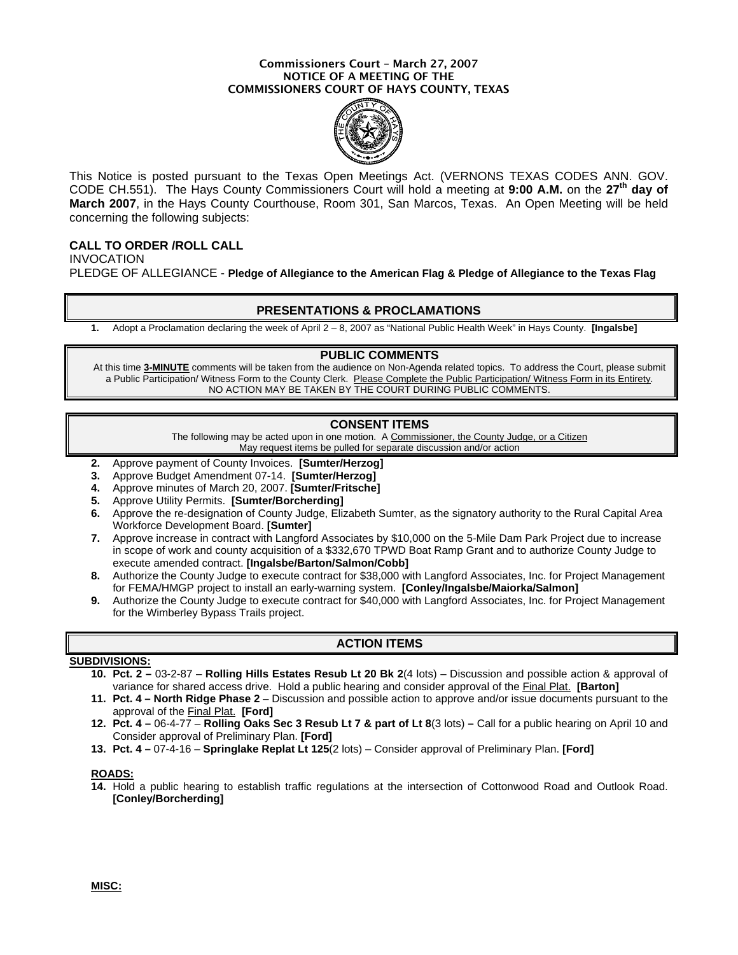#### Commissioners Court – March 27, 2007 NOTICE OF A MEETING OF THE COMMISSIONERS COURT OF HAYS COUNTY, TEXAS



This Notice is posted pursuant to the Texas Open Meetings Act. (VERNONS TEXAS CODES ANN. GOV. CODE CH.551). The Hays County Commissioners Court will hold a meeting at **9:00 A.M.** on the **27th day of March 2007**, in the Hays County Courthouse, Room 301, San Marcos, Texas. An Open Meeting will be held concerning the following subjects:

## **CALL TO ORDER /ROLL CALL**

INVOCATION PLEDGE OF ALLEGIANCE - **Pledge of Allegiance to the American Flag & Pledge of Allegiance to the Texas Flag**

### **PRESENTATIONS & PROCLAMATIONS**

**1.** Adopt a Proclamation declaring the week of April 2 – 8, 2007 as "National Public Health Week" in Hays County. **[Ingalsbe]** 

#### **PUBLIC COMMENTS**

At this time **3-MINUTE** comments will be taken from the audience on Non-Agenda related topics. To address the Court, please submit a Public Participation/ Witness Form to the County Clerk. Please Complete the Public Participation/ Witness Form in its Entirety. NO ACTION MAY BE TAKEN BY THE COURT DURING PUBLIC COMMENTS.

## **CONSENT ITEMS**

The following may be acted upon in one motion. A Commissioner, the County Judge, or a Citizen May request items be pulled for separate discussion and/or action

- **2.** Approve payment of County Invoices. **[Sumter/Herzog]**
- **3.** Approve Budget Amendment 07-14. **[Sumter/Herzog]**
- **4.** Approve minutes of March 20, 2007. **[Sumter/Fritsche]**
- **5.** Approve Utility Permits. **[Sumter/Borcherding]**
- **6.** Approve the re-designation of County Judge, Elizabeth Sumter, as the signatory authority to the Rural Capital Area Workforce Development Board. **[Sumter]**
- **7.** Approve increase in contract with Langford Associates by \$10,000 on the 5-Mile Dam Park Project due to increase in scope of work and county acquisition of a \$332,670 TPWD Boat Ramp Grant and to authorize County Judge to execute amended contract. **[Ingalsbe/Barton/Salmon/Cobb]**
- **8.** Authorize the County Judge to execute contract for \$38,000 with Langford Associates, Inc. for Project Management for FEMA/HMGP project to install an early-warning system. **[Conley/Ingalsbe/Maiorka/Salmon]**
- **9.** Authorize the County Judge to execute contract for \$40,000 with Langford Associates, Inc. for Project Management for the Wimberley Bypass Trails project.

## **ACTION ITEMS**

### **SUBDIVISIONS:**

- **10. Pct. 2** 03-2-87 **Rolling Hills Estates Resub Lt 20 Bk 2**(4 lots) Discussion and possible action & approval of variance for shared access drive. Hold a public hearing and consider approval of the Final Plat. **[Barton]**
- **11. Pct. 4 North Ridge Phase 2** Discussion and possible action to approve and/or issue documents pursuant to the approval of the Final Plat. **[Ford]**
- **12. Pct. 4** 06-4-77 **Rolling Oaks Sec 3 Resub Lt 7 & part of Lt 8**(3 lots)Call for a public hearing on April 10 and Consider approval of Preliminary Plan. **[Ford]**
- **13. Pct. 4 –** 07-4-16 **Springlake Replat Lt 125**(2 lots) Consider approval of Preliminary Plan. **[Ford]**

#### **ROADS:**

**14.** Hold a public hearing to establish traffic regulations at the intersection of Cottonwood Road and Outlook Road. **[Conley/Borcherding]**